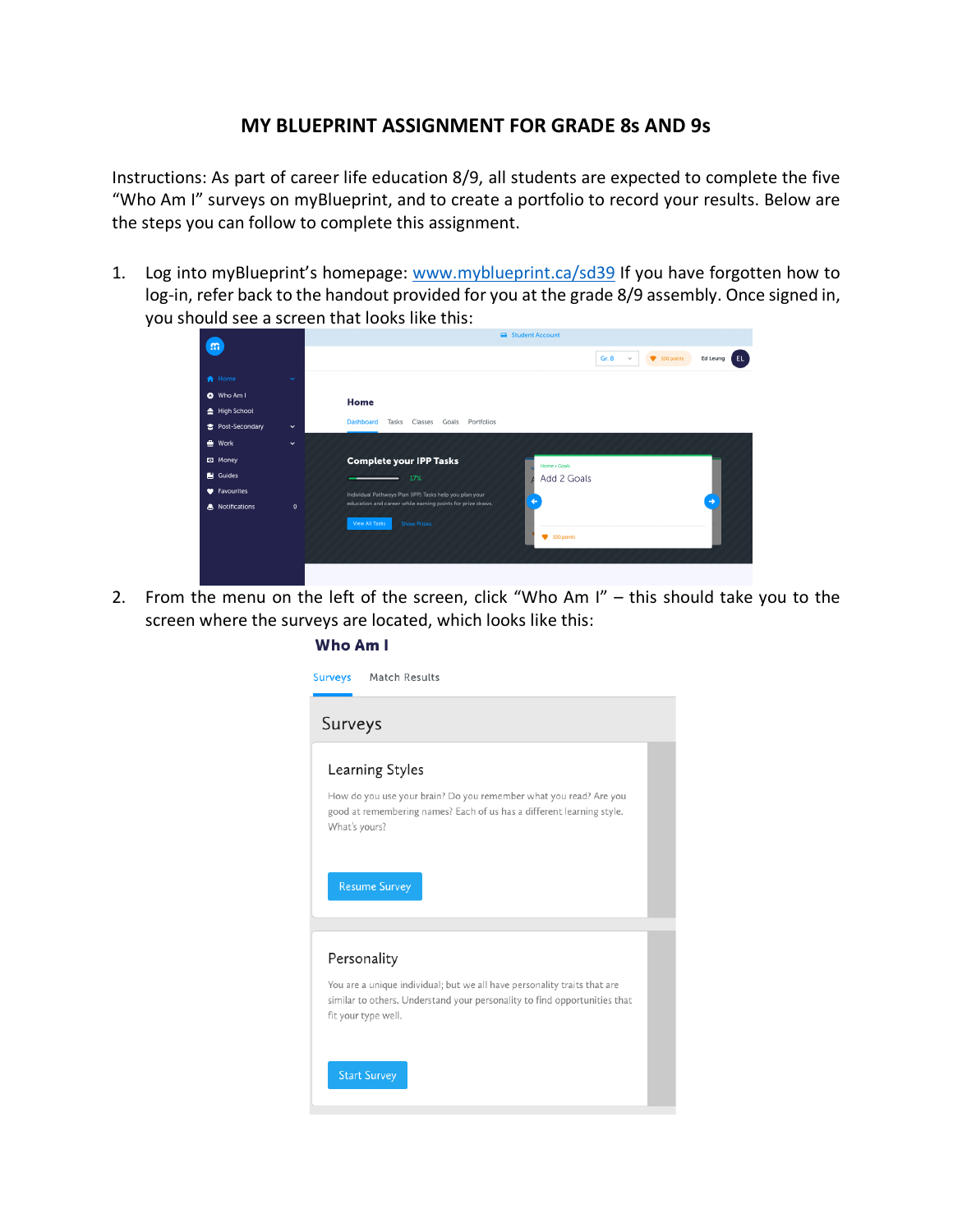## **MY BLUEPRINT ASSIGNMENT FOR GRADE 8s AND 9s**

Instructions: As part of career life education 8/9, all students are expected to complete the five "Who Am I" surveys on myBlueprint, and to create a portfolio to record your results. Below are the steps you can follow to complete this assignment.

1. Log into myBlueprint's homepage: www.myblueprint.ca/sd39 If you have forgotten how to log-in, refer back to the handout provided for you at the grade 8/9 assembly. Once signed in, you should see a screen that looks like this:

|                            |              | Student Account                                                                          |
|----------------------------|--------------|------------------------------------------------------------------------------------------|
| m                          |              | Gr. 8<br>EL.<br>$\blacktriangleright$ 100 points<br>Ed Leung<br>$\checkmark$             |
| <b>A</b> Home              | v            |                                                                                          |
| O Who Am I<br>High School  |              | Home                                                                                     |
| Post-Secondary             | $\checkmark$ | <b>Dashboard</b><br>Tasks<br>Classes<br>Goals<br>Portfolios                              |
| $\triangleq$ Work          | $\checkmark$ |                                                                                          |
| <b>D</b> Money             |              | <b>Complete your IPP Tasks</b><br>Home . Goals                                           |
| Guides                     |              | Add 2 Goals<br>17%                                                                       |
| <b>W</b> Favourites        |              | Individual Pathways Plan (IPP) Tasks help you plan your<br>$\rightarrow$<br>$\leftarrow$ |
| <b>&amp;</b> Notifications | $\mathbf{0}$ | education and career while earning points for prize draws.                               |
|                            |              | <b>View All Tasks</b><br><b>Show Prizes</b><br>$\blacktriangleright$ 100 points          |
|                            |              |                                                                                          |

2. From the menu on the left of the screen, click "Who Am I" – this should take you to the screen where the surveys are located, which looks like this:

## Who Am I

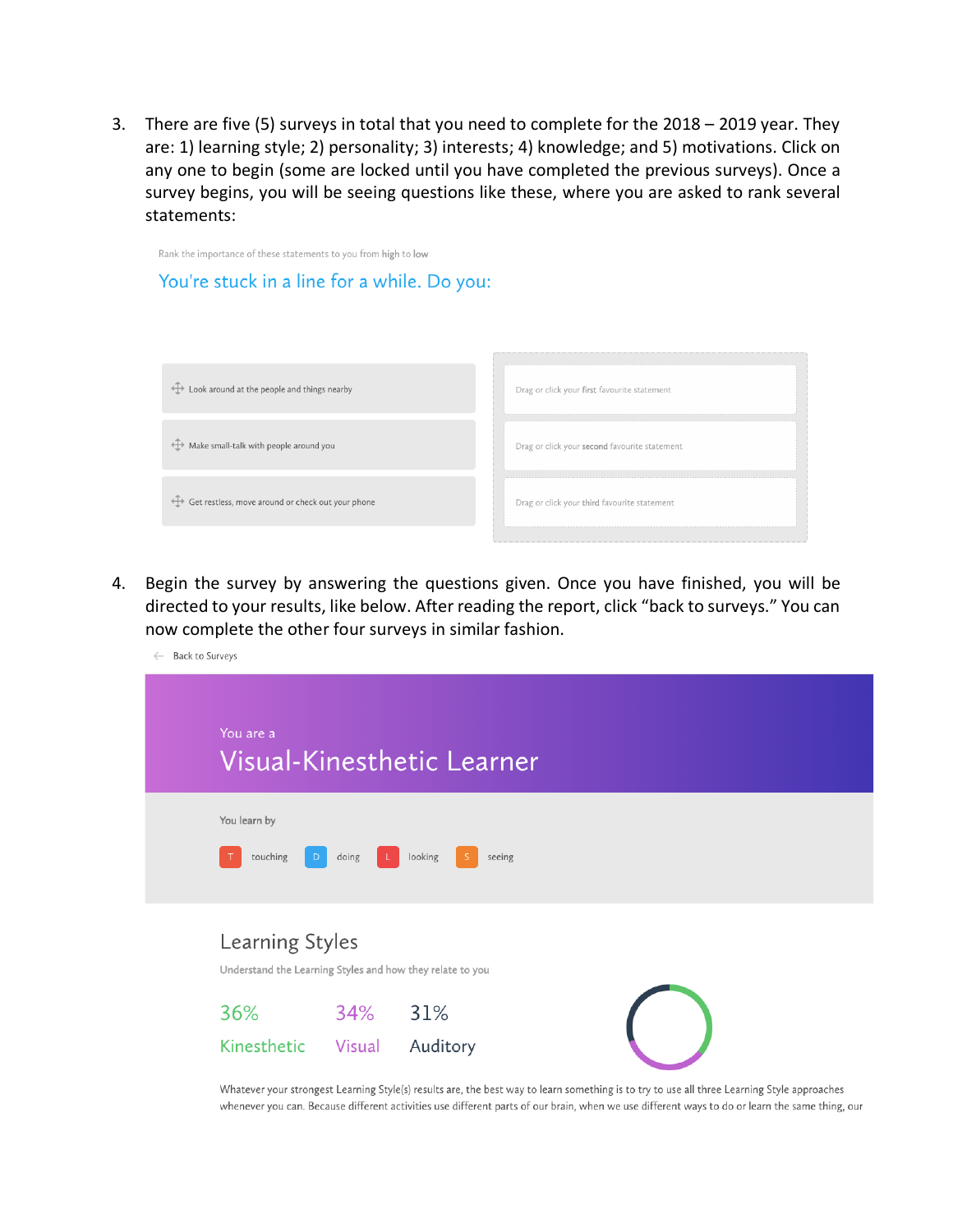3. There are five (5) surveys in total that you need to complete for the 2018 – 2019 year. They are: 1) learning style; 2) personality; 3) interests; 4) knowledge; and 5) motivations. Click on any one to begin (some are locked until you have completed the previous surveys). Once a survey begins, you will be seeing questions like these, where you are asked to rank several statements:



4. Begin the survey by answering the questions given. Once you have finished, you will be directed to your results, like below. After reading the report, click "back to surveys." You can now complete the other four surveys in similar fashion.

| <b>Back to Surveys</b><br>$\leftarrow$ |                                                                              |       |                                                                                                                                             |  |  |
|----------------------------------------|------------------------------------------------------------------------------|-------|---------------------------------------------------------------------------------------------------------------------------------------------|--|--|
|                                        | You are a                                                                    |       | Visual-Kinesthetic Learner                                                                                                                  |  |  |
|                                        | You learn by<br>touching                                                     | doing | looking<br>seeing                                                                                                                           |  |  |
|                                        | Learning Styles<br>Understand the Learning Styles and how they relate to you |       |                                                                                                                                             |  |  |
|                                        | 36%                                                                          | 34%   | 31%                                                                                                                                         |  |  |
|                                        | Kinesthetic Visual                                                           |       | Auditory                                                                                                                                    |  |  |
|                                        |                                                                              |       | Whatever your strongest Learning Style(s) results are, the best way to learn something is to try to use all three Learning Style approaches |  |  |

whenever you can. Because different activities use different parts of our brain, when we use different ways to do or learn the same thing, our